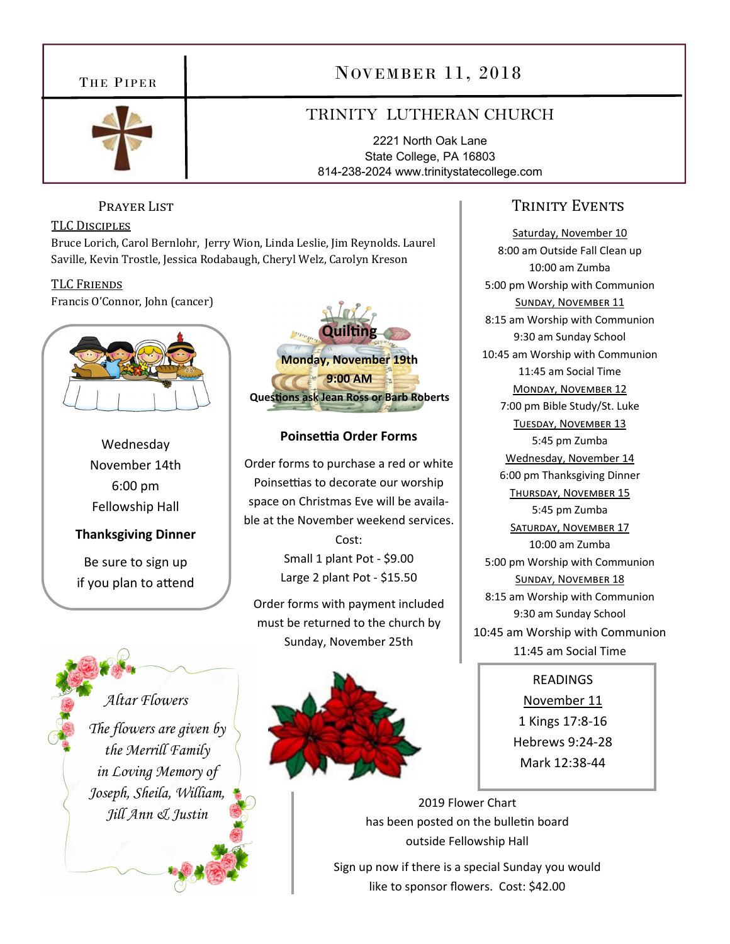

### THE PIPER 11, 2018

### TRINITY LUTHERAN CHURCH

2221 North Oak Lane State College, PA 16803 814-238-2024 www.trinitystatecollege.com

### Prayer List

### TLC DISCIPLES

Bruce Lorich, Carol Bernlohr, Jerry Wion, Linda Leslie, Jim Reynolds. Laurel Saville, Kevin Trostle, Jessica Rodabaugh, Cheryl Welz, Carolyn Kreson

### TLC FRIENDS

Francis O'Connor, John (cancer)



Wednesday November 14th 6:00 pm Fellowship Hall

### **Thanksgiving Dinner**

Be sure to sign up if you plan to attend





### **Poinsettia Order Forms**

Order forms to purchase a red or white Poinsettias to decorate our worship space on Christmas Eve will be availa‐ ble at the November weekend services. Cost: Small 1 plant Pot ‐ \$9.00 Large 2 plant Pot ‐ \$15.50

Order forms with payment included must be returned to the church by Sunday, November 25th



### TRINITY EVENTS

Saturday, November 10 8:00 am Outside Fall Clean up 10:00 am Zumba 5:00 pm Worship with Communion SUNDAY, NOVEMBER 11 8:15 am Worship with Communion 9:30 am Sunday School 10:45 am Worship with Communion 11:45 am Social Time MONDAY, NOVEMBER 12 7:00 pm Bible Study/St. Luke TUESDAY, NOVEMBER 13 5:45 pm Zumba Wednesday, November 14 6:00 pm Thanksgiving Dinner THURSDAY, NOVEMBER 15 5:45 pm Zumba SATURDAY, NOVEMBER 17 10:00 am Zumba 5:00 pm Worship with Communion SUNDAY, NOVEMBER 18 8:15 am Worship with Communion 9:30 am Sunday School 10:45 am Worship with Communion 11:45 am Social Time

### READINGS

November 11 1 Kings 17:8‐16 Hebrews 9:24‐28 Mark 12:38‐44

2019 Flower Chart has been posted on the bulletin board outside Fellowship Hall

Sign up now if there is a special Sunday you would like to sponsor flowers. Cost: \$42.00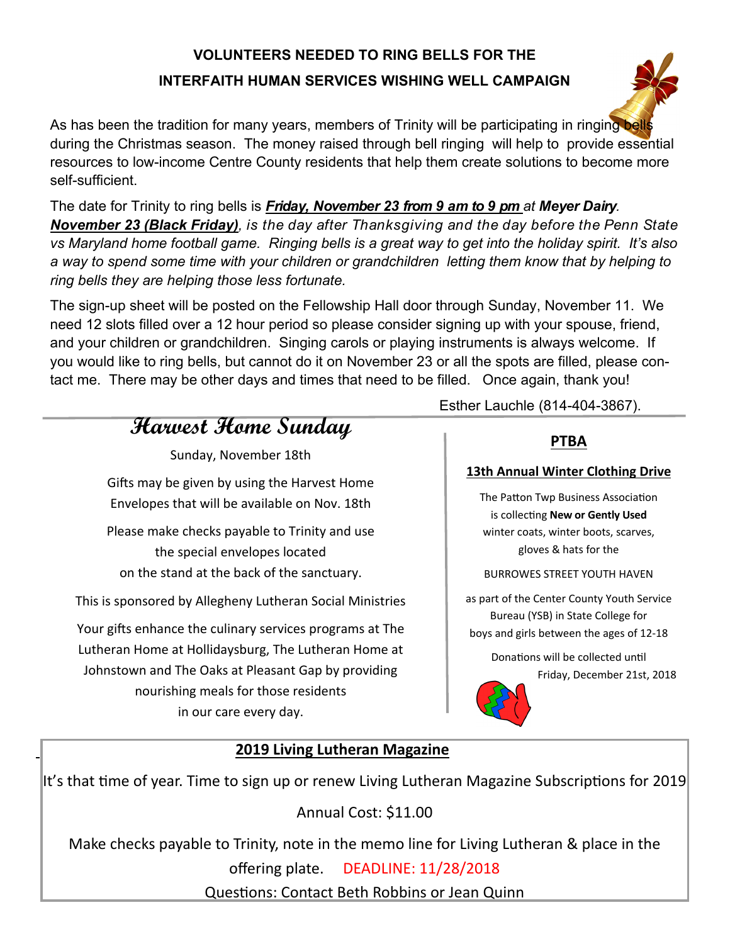### **VOLUNTEERS NEEDED TO RING BELLS FOR THE INTERFAITH HUMAN SERVICES WISHING WELL CAMPAIGN**

As has been the tradition for many years, members of Trinity will be participating in ringing bells during the Christmas season. The money raised through bell ringing will help to provide essential resources to low-income Centre County residents that help them create solutions to become more self-sufficient.

The date for Trinity to ring bells is *Friday, November 23 from 9 am to 9 pm at Meyer Dairy. November 23 (Black Friday), is the day after Thanksgiving and the day before the Penn State vs Maryland home football game. Ringing bells is a great way to get into the holiday spirit. It's also a way to spend some time with your children or grandchildren letting them know that by helping to ring bells they are helping those less fortunate.* 

The sign-up sheet will be posted on the Fellowship Hall door through Sunday, November 11. We need 12 slots filled over a 12 hour period so please consider signing up with your spouse, friend, and your children or grandchildren. Singing carols or playing instruments is always welcome. If you would like to ring bells, but cannot do it on November 23 or all the spots are filled, please contact me. There may be other days and times that need to be filled. Once again, thank you!

### Esther Lauchle (814-404-3867).

Sunday, November 18th

**Harvest Home Sunday** 

Gifts may be given by using the Harvest Home Envelopes that will be available on Nov. 18th

Please make checks payable to Trinity and use the special envelopes located on the stand at the back of the sanctuary.

This is sponsored by Allegheny Lutheran Social Ministries

Your gifts enhance the culinary services programs at The Lutheran Home at Hollidaysburg, The Lutheran Home at Johnstown and The Oaks at Pleasant Gap by providing nourishing meals for those residents in our care every day.

### **PTBA**

### **13th Annual Winter Clothing Drive**

The Patton Twp Business Association **is collecting New or Gently Used** winter coats, winter boots, scarves, gloves & hats for the

BURROWES STREET YOUTH HAVEN

as part of the Center County Youth Service Bureau (YSB) in State College for boys and girls between the ages of 12‐18

> Donations will be collected until Friday, December 21st, 2018



### **2019 Living Lutheran Magazine**

It's that time of year. Time to sign up or renew Living Lutheran Magazine Subscriptions for 2019

Annual Cost: \$11.00

Make checks payable to Trinity, note in the memo line for Living Lutheran & place in the offering plate. DEADLINE: 11/28/2018 Questions: Contact Beth Robbins or Jean Quinn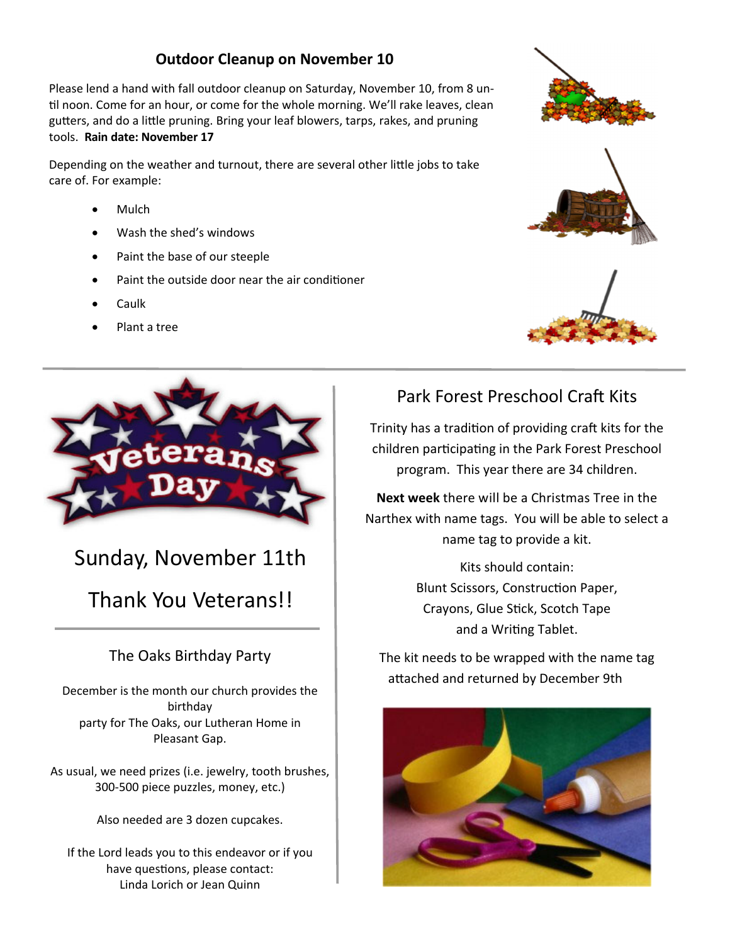### **Outdoor Cleanup on November 10**

Please lend a hand with fall outdoor cleanup on Saturday, November 10, from 8 un‐ til noon. Come for an hour, or come for the whole morning. We'll rake leaves, clean gutters, and do a little pruning. Bring your leaf blowers, tarps, rakes, and pruning tools. **Rain date: November 17**

Depending on the weather and turnout, there are several other little jobs to take care of. For example:

- Mulch
- Wash the shed's windows
- Paint the base of our steeple
- Paint the outside door near the air conditioner
- Caulk
- Plant a tree



# Sunday, November 11th

Thank You Veterans!!

### The Oaks Birthday Party

December is the month our church provides the birthday party for The Oaks, our Lutheran Home in Pleasant Gap.

As usual, we need prizes (i.e. jewelry, tooth brushes, 300‐500 piece puzzles, money, etc.)

Also needed are 3 dozen cupcakes.

If the Lord leads you to this endeavor or if you have questions, please contact: Linda Lorich or Jean Quinn







### Park Forest Preschool Craft Kits

Trinity has a tradition of providing craft kits for the children participating in the Park Forest Preschool program. This year there are 34 children.

**Next week** there will be a Christmas Tree in the Narthex with name tags. You will be able to select a name tag to provide a kit.

> Kits should contain: Blunt Scissors, Construction Paper, Crayons, Glue Stick, Scotch Tape and a Writing Tablet.

The kit needs to be wrapped with the name tag attached and returned by December 9th